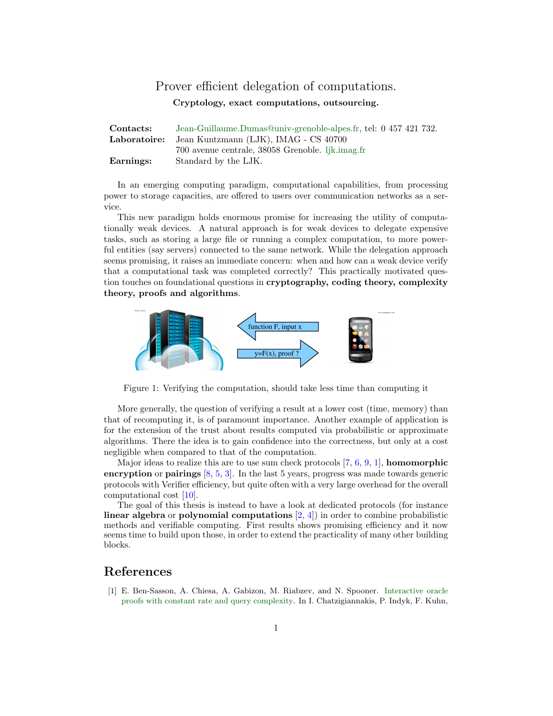## Prover efficient delegation of computations.

Cryptology, exact computations, outsourcing.

| Contacts:    | Jean-Guillaume.Dumas@univ-grenoble-alpes.fr, tel: 0 457 421 732. |
|--------------|------------------------------------------------------------------|
| Laboratoire: | Jean Kuntzmann (LJK), IMAG - CS 40700                            |
|              | 700 avenue centrale, 38058 Grenoble. lik.imag.fr                 |
| Earnings:    | Standard by the LJK.                                             |

In an emerging computing paradigm, computational capabilities, from processing power to storage capacities, are offered to users over communication networks as a service.

This new paradigm holds enormous promise for increasing the utility of computationally weak devices. A natural approach is for weak devices to delegate expensive tasks, such as storing a large file or running a complex computation, to more powerful entities (say servers) connected to the same network. While the delegation approach seems promising, it raises an immediate concern: when and how can a weak device verify that a computational task was completed correctly? This practically motivated question touches on foundational questions in cryptography, coding theory, complexity theory, proofs and algorithms.



Figure 1: Verifying the computation, should take less time than computing it

More generally, the question of verifying a result at a lower cost (time, memory) than that of recomputing it, is of paramount importance. Another example of application is for the extension of the trust about results computed via probabilistic or approximate algorithms. There the idea is to gain confidence into the correctness, but only at a cost negligible when compared to that of the computation.

Major ideas to realize this are to use sum check protocols  $[7, 6, 9, 1]$  $[7, 6, 9, 1]$  $[7, 6, 9, 1]$  $[7, 6, 9, 1]$  $[7, 6, 9, 1]$  $[7, 6, 9, 1]$  $[7, 6, 9, 1]$ , **homomorphic** encryption or pairings [\[8,](#page-1-3) [5,](#page-1-4) [3\]](#page-1-5). In the last 5 years, progress was made towards generic protocols with Verifier efficiency, but quite often with a very large overhead for the overall computational cost [\[10\]](#page-1-6).

The goal of this thesis is instead to have a look at dedicated protocols (for instance linear algebra or polynomial computations  $(2, 4)$  in order to combine probabilistic methods and verifiable computing. First results shows promising efficiency and it now seems time to build upon those, in order to extend the practicality of many other building blocks.

## References

<span id="page-0-0"></span>[1] E. Ben-Sasson, A. Chiesa, A. Gabizon, M. Riabzev, and N. Spooner. [Interactive oracle](http://dx.doi.org/10.4230/LIPIcs.ICALP.2017.40) [proofs with constant rate and query complexity.](http://dx.doi.org/10.4230/LIPIcs.ICALP.2017.40) In I. Chatzigiannakis, P. Indyk, F. Kuhn,